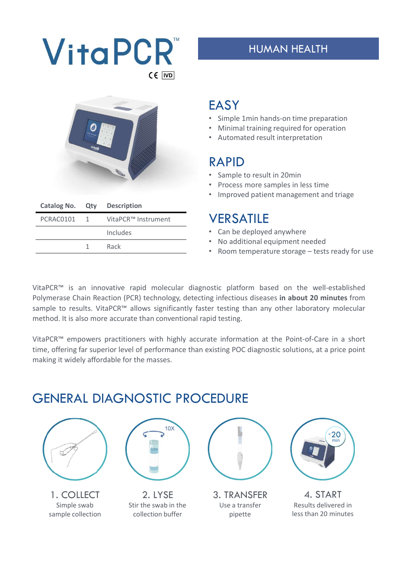



|           |          | Catalog No. Qty Description |  |
|-----------|----------|-----------------------------|--|
| PCRAC0101 | $\sim$ 1 | VitaPCR™ Instrument         |  |
|           |          | Includes                    |  |
|           |          | Rack                        |  |
|           |          |                             |  |

## **EASY**

- Simple 1min hands-on time preparation
- Minimal training required for operation
- Automated result interpretation

## RAPID

- Sample to result in 20min
- Process more samples in less time
- Improved patient management and triage

### **VERSATILE**

- Can be deployed anywhere
- No additional equipment needed
- 

**EASY**<br>• Simple 1min hands-on time preparation<br>• Minimal training required for operation<br>• Automated result interpretation<br>**RAPID**<br>• Sample to result in 20min<br>• Process more samples in less time<br>• Improved patient manageme VitaPCR<sup>m</sup> is an innovative rapid molecular diagnostic platform based on the well-established<br>
WitaPCR<sup>m</sup> is an innovative rapid molecular diagnostic platform based on the well-established<br>
VitaPCR<sup>m</sup> is an innovative rapi Automated result interpretation<br>
Polymerase Chain Reaction<br>
Polymerase Chain Reaction<br>
Polymerase Chain Reaction (PCR) technology, detecting infectious diseases in about 20 minutes from<br>
Polymerase Chain Reaction (PCR) tec Sample to result in 20min<br>
FRAPID<br>
Sample to result in 20min<br>
PCRACO101 1 VitaPCR<sup>m</sup> Instrument<br>
Includes<br>
1 Rack<br>
TRESATILE<br>
Includes<br>
1 Rack<br>
TRESATILE<br>
Includes<br>
1 Rack<br>
TRESATILE<br>
1 Can be deployed anywhere<br>
1 Rack<br>
1 **EXAMPLE ACCULL AND FIGURE CONDENSITY CREACCULE CONDENSITY CRACCULE CONDENSITY CRACCULE CONDENSITY INTERNATIONAL PROPERTY INTERNATIONAL PROPERTY INTERNATIONAL PROPERTY INTERNATIONAL CAN BE CAN CONVERGENT CONVERGENT CONVERG** Catalog No. Qty Description<br>
PCRAC0101 1 VitaPCR™ instrument<br>
Includes<br>
The deployed paymere<br>
Includes<br>
The deployed anywhere<br>
The deployed anywhere<br>
The deployed anywhere<br>
VER SATILE<br>
The deployed anywhere<br>
VER SATILE<br>
Ye THERE AL DIAGNOSTIC PROCEDIPE<br>
CRIMITY THERE CONTINUES<br>
THERE INCREASE INCREMING THE CAN CONTINUES<br>
INCREASE THE CAN EXAMPLE<br>
INCREASE THE CAN EXAMPLE<br>
VERSATILE<br>
VERSATILE<br>
VERSATILE<br>
CAN EXAMPLE<br>
CAN EXAMPLE CAN EXAMPLE • Improved patient management and triage<br>
PCRAC0101 1 VitaPCR<sup>m</sup> Instrument<br>
Includes<br>
1 Rack<br>
1 Rack<br>
1 Rack<br>
1 Rack<br>
1 Rack<br>
1 Rack<br>
1 Rack<br>
1 Rack<br>
1 Rack<br>
1 Rack<br>
1 Rack<br>
1 Rack<br>
1 Rack<br>
1 Rack<br>
1 Rown temperature st

# GENERAL DIAGNOSTIC PROCEDURE